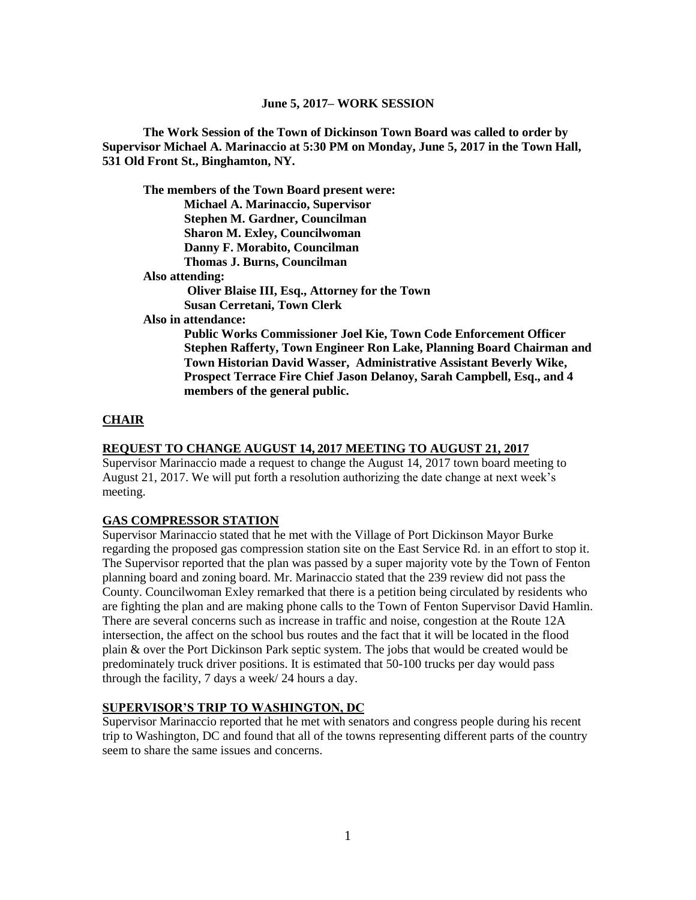**The Work Session of the Town of Dickinson Town Board was called to order by Supervisor Michael A. Marinaccio at 5:30 PM on Monday, June 5, 2017 in the Town Hall, 531 Old Front St., Binghamton, NY.**

**The members of the Town Board present were: Michael A. Marinaccio, Supervisor Stephen M. Gardner, Councilman Sharon M. Exley, Councilwoman Danny F. Morabito, Councilman Thomas J. Burns, Councilman Also attending: Oliver Blaise III, Esq., Attorney for the Town Susan Cerretani, Town Clerk Also in attendance: Public Works Commissioner Joel Kie, Town Code Enforcement Officer** 

**Stephen Rafferty, Town Engineer Ron Lake, Planning Board Chairman and Town Historian David Wasser, Administrative Assistant Beverly Wike, Prospect Terrace Fire Chief Jason Delanoy, Sarah Campbell, Esq., and 4 members of the general public.**

### **CHAIR**

#### **REQUEST TO CHANGE AUGUST 14, 2017 MEETING TO AUGUST 21, 2017**

Supervisor Marinaccio made a request to change the August 14, 2017 town board meeting to August 21, 2017. We will put forth a resolution authorizing the date change at next week's meeting.

#### **GAS COMPRESSOR STATION**

Supervisor Marinaccio stated that he met with the Village of Port Dickinson Mayor Burke regarding the proposed gas compression station site on the East Service Rd. in an effort to stop it. The Supervisor reported that the plan was passed by a super majority vote by the Town of Fenton planning board and zoning board. Mr. Marinaccio stated that the 239 review did not pass the County. Councilwoman Exley remarked that there is a petition being circulated by residents who are fighting the plan and are making phone calls to the Town of Fenton Supervisor David Hamlin. There are several concerns such as increase in traffic and noise, congestion at the Route 12A intersection, the affect on the school bus routes and the fact that it will be located in the flood plain & over the Port Dickinson Park septic system. The jobs that would be created would be predominately truck driver positions. It is estimated that 50-100 trucks per day would pass through the facility, 7 days a week/ 24 hours a day.

## **SUPERVISOR'S TRIP TO WASHINGTON, DC**

Supervisor Marinaccio reported that he met with senators and congress people during his recent trip to Washington, DC and found that all of the towns representing different parts of the country seem to share the same issues and concerns.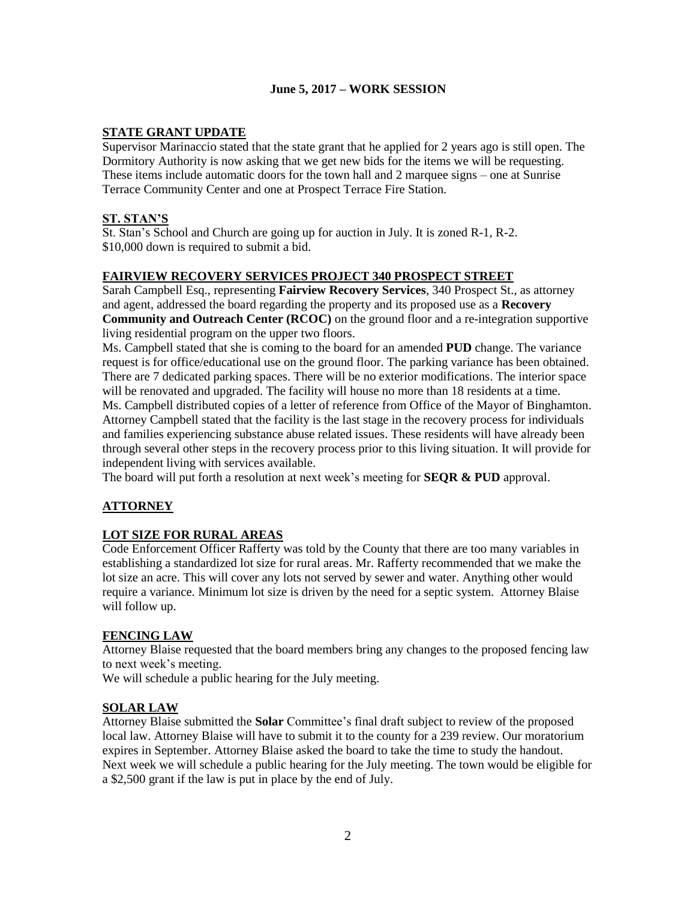## **STATE GRANT UPDATE**

Supervisor Marinaccio stated that the state grant that he applied for 2 years ago is still open. The Dormitory Authority is now asking that we get new bids for the items we will be requesting. These items include automatic doors for the town hall and 2 marquee signs – one at Sunrise Terrace Community Center and one at Prospect Terrace Fire Station.

# **ST. STAN'S**

St. Stan's School and Church are going up for auction in July. It is zoned R-1, R-2. \$10,000 down is required to submit a bid.

## **FAIRVIEW RECOVERY SERVICES PROJECT 340 PROSPECT STREET**

Sarah Campbell Esq., representing **Fairview Recovery Services**, 340 Prospect St., as attorney and agent, addressed the board regarding the property and its proposed use as a **Recovery Community and Outreach Center (RCOC)** on the ground floor and a re-integration supportive living residential program on the upper two floors.

Ms. Campbell stated that she is coming to the board for an amended **PUD** change. The variance request is for office/educational use on the ground floor. The parking variance has been obtained. There are 7 dedicated parking spaces. There will be no exterior modifications. The interior space will be renovated and upgraded. The facility will house no more than 18 residents at a time. Ms. Campbell distributed copies of a letter of reference from Office of the Mayor of Binghamton. Attorney Campbell stated that the facility is the last stage in the recovery process for individuals and families experiencing substance abuse related issues. These residents will have already been through several other steps in the recovery process prior to this living situation. It will provide for independent living with services available.

The board will put forth a resolution at next week's meeting for **SEQR & PUD** approval.

# **ATTORNEY**

# **LOT SIZE FOR RURAL AREAS**

Code Enforcement Officer Rafferty was told by the County that there are too many variables in establishing a standardized lot size for rural areas. Mr. Rafferty recommended that we make the lot size an acre. This will cover any lots not served by sewer and water. Anything other would require a variance. Minimum lot size is driven by the need for a septic system. Attorney Blaise will follow up.

### **FENCING LAW**

Attorney Blaise requested that the board members bring any changes to the proposed fencing law to next week's meeting.

We will schedule a public hearing for the July meeting.

### **SOLAR LAW**

Attorney Blaise submitted the **Solar** Committee's final draft subject to review of the proposed local law. Attorney Blaise will have to submit it to the county for a 239 review. Our moratorium expires in September. Attorney Blaise asked the board to take the time to study the handout. Next week we will schedule a public hearing for the July meeting. The town would be eligible for a \$2,500 grant if the law is put in place by the end of July.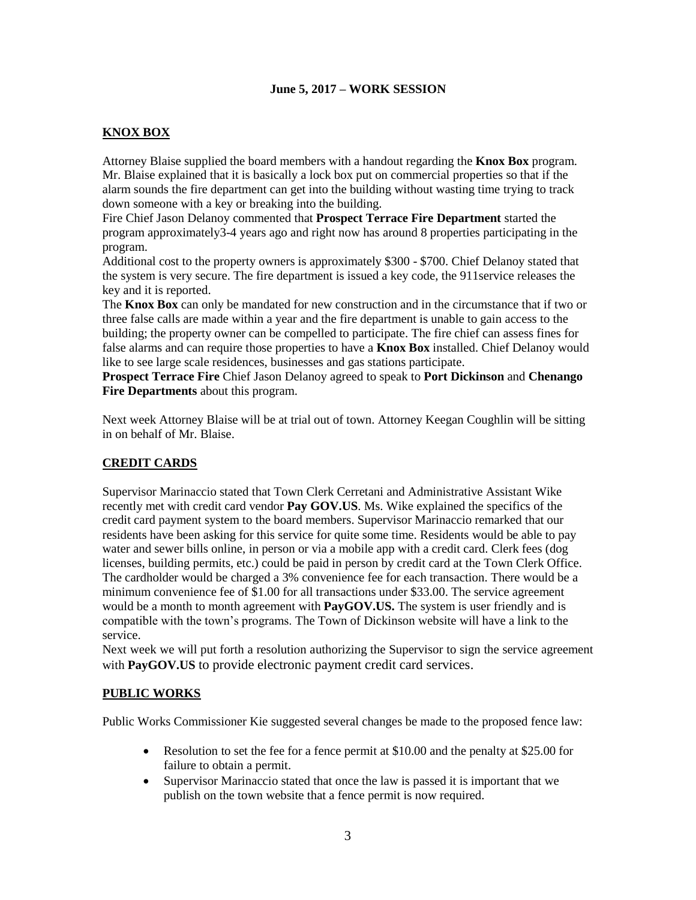# **KNOX BOX**

Attorney Blaise supplied the board members with a handout regarding the **Knox Box** program. Mr. Blaise explained that it is basically a lock box put on commercial properties so that if the alarm sounds the fire department can get into the building without wasting time trying to track down someone with a key or breaking into the building.

Fire Chief Jason Delanoy commented that **Prospect Terrace Fire Department** started the program approximately3-4 years ago and right now has around 8 properties participating in the program.

Additional cost to the property owners is approximately \$300 - \$700. Chief Delanoy stated that the system is very secure. The fire department is issued a key code, the 911service releases the key and it is reported.

The **Knox Box** can only be mandated for new construction and in the circumstance that if two or three false calls are made within a year and the fire department is unable to gain access to the building; the property owner can be compelled to participate. The fire chief can assess fines for false alarms and can require those properties to have a **Knox Box** installed. Chief Delanoy would like to see large scale residences, businesses and gas stations participate.

**Prospect Terrace Fire** Chief Jason Delanoy agreed to speak to **Port Dickinson** and **Chenango Fire Departments** about this program.

Next week Attorney Blaise will be at trial out of town. Attorney Keegan Coughlin will be sitting in on behalf of Mr. Blaise.

# **CREDIT CARDS**

Supervisor Marinaccio stated that Town Clerk Cerretani and Administrative Assistant Wike recently met with credit card vendor **Pay GOV.US**. Ms. Wike explained the specifics of the credit card payment system to the board members. Supervisor Marinaccio remarked that our residents have been asking for this service for quite some time. Residents would be able to pay water and sewer bills online, in person or via a mobile app with a credit card. Clerk fees (dog licenses, building permits, etc.) could be paid in person by credit card at the Town Clerk Office. The cardholder would be charged a 3% convenience fee for each transaction. There would be a minimum convenience fee of \$1.00 for all transactions under \$33.00. The service agreement would be a month to month agreement with **PayGOV.US.** The system is user friendly and is compatible with the town's programs. The Town of Dickinson website will have a link to the service.

Next week we will put forth a resolution authorizing the Supervisor to sign the service agreement with **PayGOV.US** to provide electronic payment credit card services.

### **PUBLIC WORKS**

Public Works Commissioner Kie suggested several changes be made to the proposed fence law:

- Resolution to set the fee for a fence permit at \$10.00 and the penalty at \$25.00 for failure to obtain a permit.
- Supervisor Marinaccio stated that once the law is passed it is important that we publish on the town website that a fence permit is now required.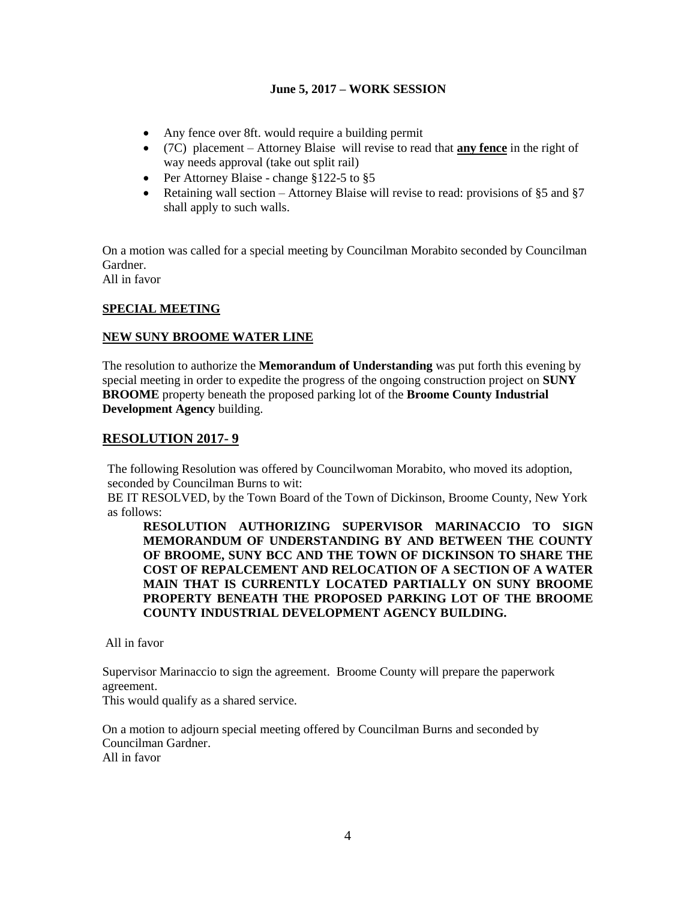- Any fence over 8ft. would require a building permit
- (7C) placement Attorney Blaise will revise to read that **any fence** in the right of way needs approval (take out split rail)
- Per Attorney Blaise change  $$122-5$  to  $$5$
- Retaining wall section Attorney Blaise will revise to read: provisions of §5 and §7 shall apply to such walls.

On a motion was called for a special meeting by Councilman Morabito seconded by Councilman Gardner.

All in favor

## **SPECIAL MEETING**

## **NEW SUNY BROOME WATER LINE**

The resolution to authorize the **Memorandum of Understanding** was put forth this evening by special meeting in order to expedite the progress of the ongoing construction project on **SUNY BROOME** property beneath the proposed parking lot of the **Broome County Industrial Development Agency** building.

## **RESOLUTION 2017- 9**

The following Resolution was offered by Councilwoman Morabito, who moved its adoption, seconded by Councilman Burns to wit:

BE IT RESOLVED, by the Town Board of the Town of Dickinson, Broome County, New York as follows:

**RESOLUTION AUTHORIZING SUPERVISOR MARINACCIO TO SIGN MEMORANDUM OF UNDERSTANDING BY AND BETWEEN THE COUNTY OF BROOME, SUNY BCC AND THE TOWN OF DICKINSON TO SHARE THE COST OF REPALCEMENT AND RELOCATION OF A SECTION OF A WATER MAIN THAT IS CURRENTLY LOCATED PARTIALLY ON SUNY BROOME PROPERTY BENEATH THE PROPOSED PARKING LOT OF THE BROOME COUNTY INDUSTRIAL DEVELOPMENT AGENCY BUILDING.**

All in favor

Supervisor Marinaccio to sign the agreement. Broome County will prepare the paperwork agreement.

This would qualify as a shared service.

On a motion to adjourn special meeting offered by Councilman Burns and seconded by Councilman Gardner. All in favor